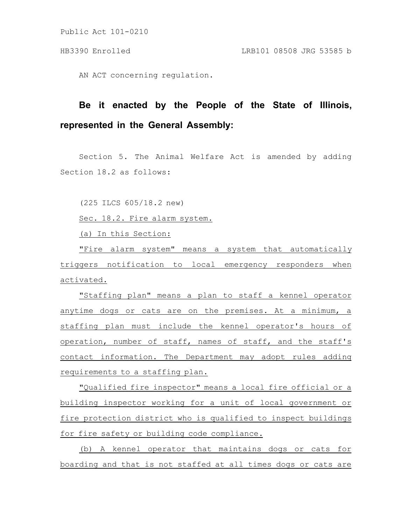Public Act 101-0210

AN ACT concerning regulation.

## **Be it enacted by the People of the State of Illinois, represented in the General Assembly:**

Section 5. The Animal Welfare Act is amended by adding Section 18.2 as follows:

(225 ILCS 605/18.2 new)

Sec. 18.2. Fire alarm system.

(a) In this Section:

"Fire alarm system" means a system that automatically triggers notification to local emergency responders when activated.

"Staffing plan" means a plan to staff a kennel operator anytime dogs or cats are on the premises. At a minimum, a staffing plan must include the kennel operator's hours of operation, number of staff, names of staff, and the staff's contact information. The Department may adopt rules adding requirements to a staffing plan.

"Qualified fire inspector" means a local fire official or a building inspector working for a unit of local government or fire protection district who is qualified to inspect buildings for fire safety or building code compliance.

(b) A kennel operator that maintains dogs or cats for boarding and that is not staffed at all times dogs or cats are